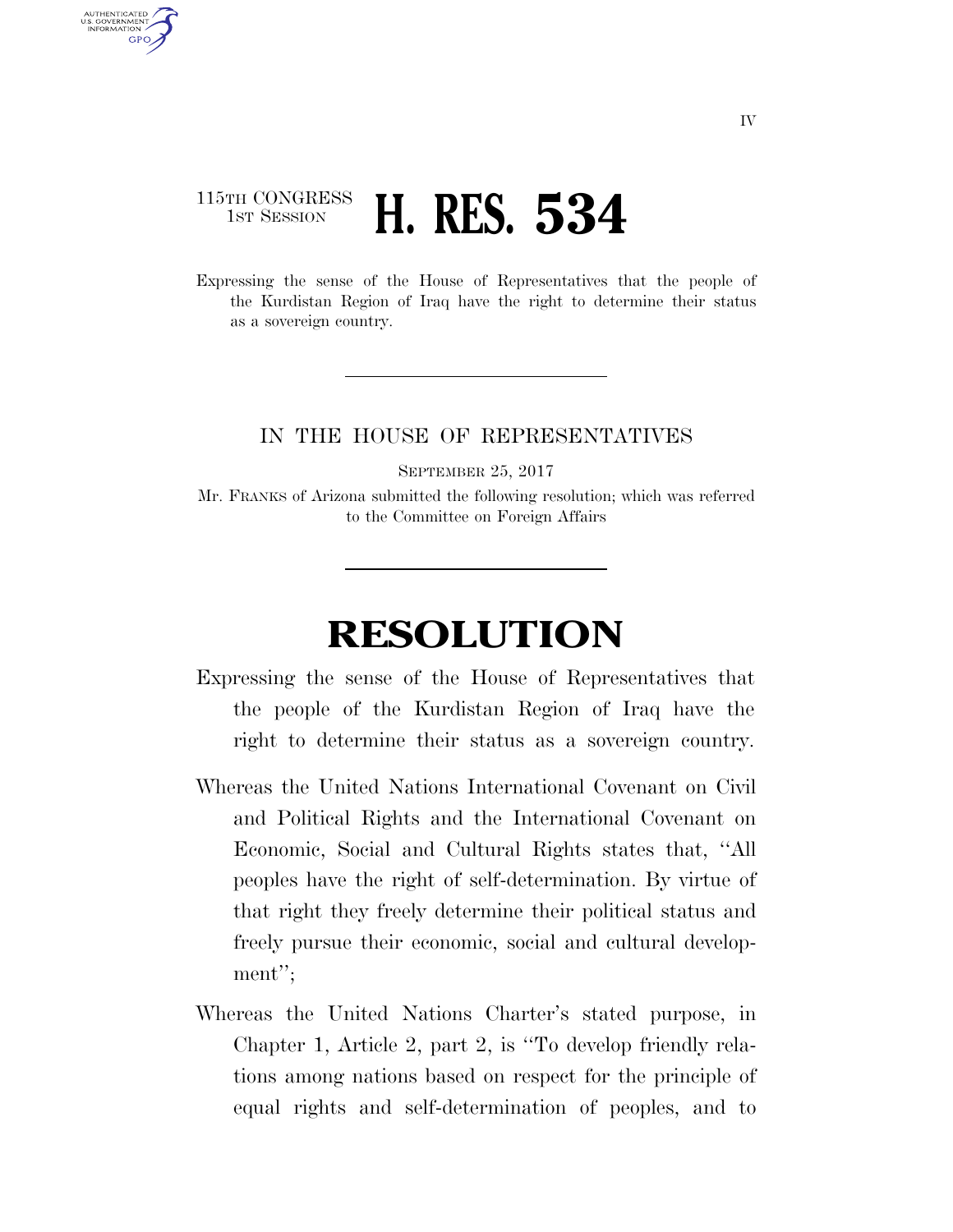## 115TH CONGRESS **1st Session H. RES. 534**

AUTHENTICATED U.S. GOVERNMENT **GPO** 

> Expressing the sense of the House of Representatives that the people of the Kurdistan Region of Iraq have the right to determine their status as a sovereign country.

## IN THE HOUSE OF REPRESENTATIVES

SEPTEMBER 25, 2017

Mr. FRANKS of Arizona submitted the following resolution; which was referred to the Committee on Foreign Affairs

## **RESOLUTION**

- Expressing the sense of the House of Representatives that the people of the Kurdistan Region of Iraq have the right to determine their status as a sovereign country.
- Whereas the United Nations International Covenant on Civil and Political Rights and the International Covenant on Economic, Social and Cultural Rights states that, ''All peoples have the right of self-determination. By virtue of that right they freely determine their political status and freely pursue their economic, social and cultural development'';
- Whereas the United Nations Charter's stated purpose, in Chapter 1, Article 2, part 2, is ''To develop friendly relations among nations based on respect for the principle of equal rights and self-determination of peoples, and to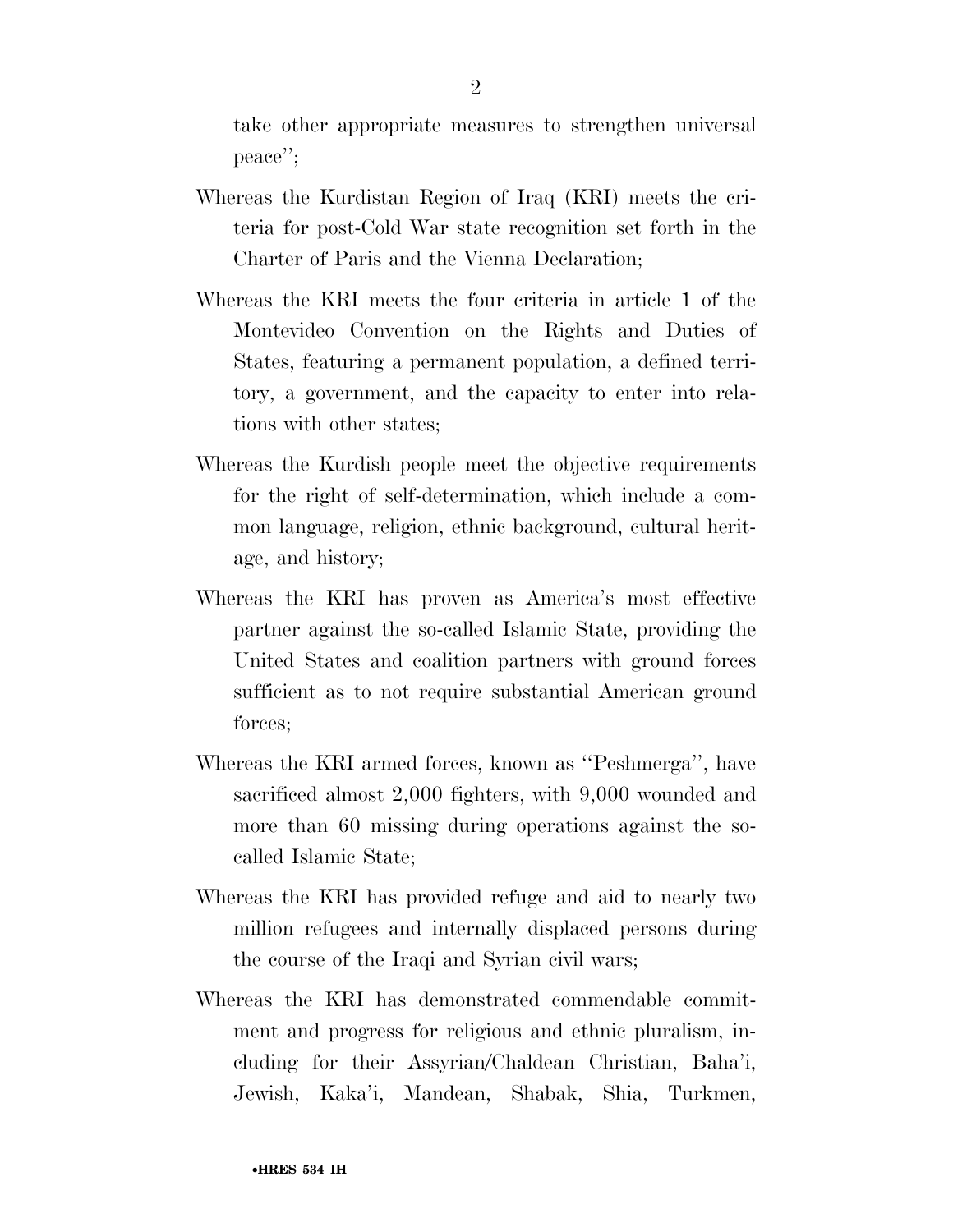take other appropriate measures to strengthen universal peace'';

- Whereas the Kurdistan Region of Iraq (KRI) meets the criteria for post-Cold War state recognition set forth in the Charter of Paris and the Vienna Declaration;
- Whereas the KRI meets the four criteria in article 1 of the Montevideo Convention on the Rights and Duties of States, featuring a permanent population, a defined territory, a government, and the capacity to enter into relations with other states;
- Whereas the Kurdish people meet the objective requirements for the right of self-determination, which include a common language, religion, ethnic background, cultural heritage, and history;
- Whereas the KRI has proven as America's most effective partner against the so-called Islamic State, providing the United States and coalition partners with ground forces sufficient as to not require substantial American ground forces;
- Whereas the KRI armed forces, known as ''Peshmerga'', have sacrificed almost 2,000 fighters, with 9,000 wounded and more than 60 missing during operations against the socalled Islamic State;
- Whereas the KRI has provided refuge and aid to nearly two million refugees and internally displaced persons during the course of the Iraqi and Syrian civil wars;
- Whereas the KRI has demonstrated commendable commitment and progress for religious and ethnic pluralism, including for their Assyrian/Chaldean Christian, Baha'i, Jewish, Kaka'i, Mandean, Shabak, Shia, Turkmen,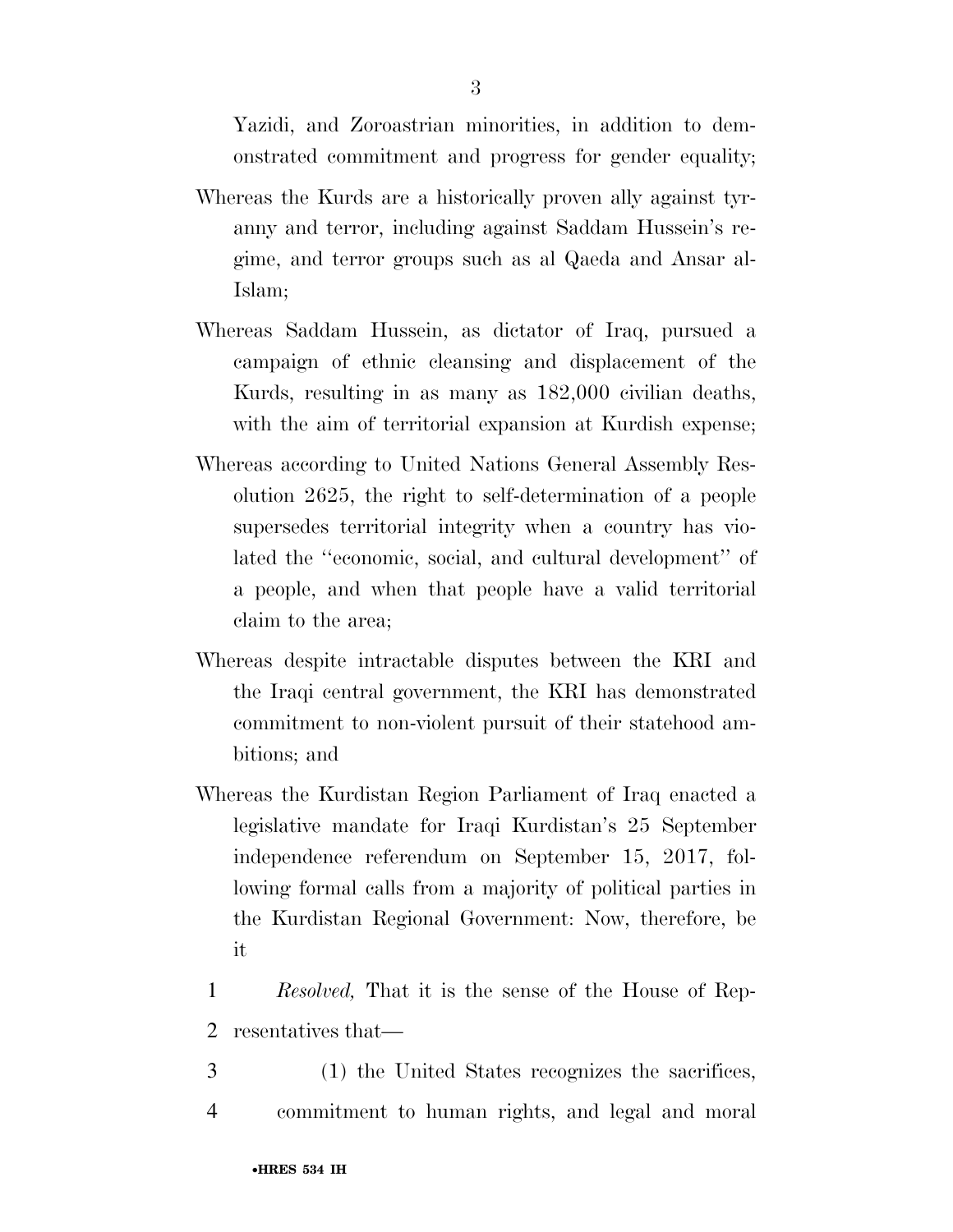Yazidi, and Zoroastrian minorities, in addition to demonstrated commitment and progress for gender equality;

- Whereas the Kurds are a historically proven ally against tyranny and terror, including against Saddam Hussein's regime, and terror groups such as al Qaeda and Ansar al-Islam;
- Whereas Saddam Hussein, as dictator of Iraq, pursued a campaign of ethnic cleansing and displacement of the Kurds, resulting in as many as 182,000 civilian deaths, with the aim of territorial expansion at Kurdish expense;
- Whereas according to United Nations General Assembly Resolution 2625, the right to self-determination of a people supersedes territorial integrity when a country has violated the ''economic, social, and cultural development'' of a people, and when that people have a valid territorial claim to the area;
- Whereas despite intractable disputes between the KRI and the Iraqi central government, the KRI has demonstrated commitment to non-violent pursuit of their statehood ambitions; and
- Whereas the Kurdistan Region Parliament of Iraq enacted a legislative mandate for Iraqi Kurdistan's 25 September independence referendum on September 15, 2017, following formal calls from a majority of political parties in the Kurdistan Regional Government: Now, therefore, be it
- 1 *Resolved,* That it is the sense of the House of Rep-2 resentatives that—
- 3 (1) the United States recognizes the sacrifices, 4 commitment to human rights, and legal and moral